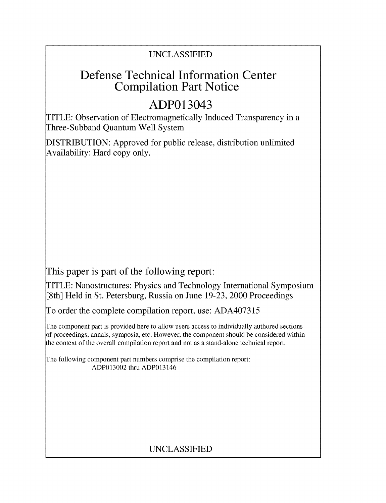## UNCLASSIFIED

## Defense Technical Information Center Compilation Part Notice

# ADP013043

TITLE: Observation of Electromagnetically Induced Transparency in a Three-Subband Quantum Well System

DISTRIBUTION: Approved for public release, distribution unlimited Availability: Hard copy only.

This paper is part of the following report:

TITLE: Nanostructures: Physics and Technology International Symposium [8th] Held in St. Petersburg, Russia on June 19-23, 2000 Proceedings

To order the complete compilation report, use: ADA407315

The component part is provided here to allow users access to individually authored sections f proceedings, annals, symposia, etc. However, the component should be considered within the context of the overall compilation report and not as a stand-alone technical report.

The following component part numbers comprise the compilation report: ADP013002 thru ADP013146

## UNCLASSIFIED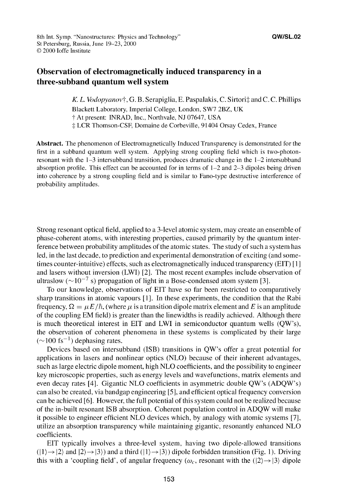### Observation of electromagnetically induced transparency in a three-subband quantum well system

*K. L. Vodopyanovt,* **G.** B. Serapiglia, E. Paspalakis, C. Sirtorit and C. C. Phillips Blackett Laboratory, Imperial College, London, SW7 2BZ, UK **T** At present: INRAD, Inc., Northvale, NJ 07647, USA -: LCR Thomson-CSF, Domaine de Corbeville, 91404 Orsay Cedex, France

Abstract. The phenomenon of Electromagnetically Induced Transparency is demonstrated for the first in a subband quantum well system. Applying strong coupling field which is two-photonresonant with the 1-3 intersubband transition, produces dramatic change in the 1-2 intersubband absorption profile. This effect can be accounted for in terms of 1-2 and 2-3 dipoles being driven into coherence by a strong coupling field and is similar to Fano-type destructive interference of probability amplitudes.

Strong resonant optical field, applied to a 3-level atomic system, may create an ensemble of phase-coherent atoms, with interesting properties, caused primarily by the quantum interference between probability amplitudes of the atomic states. The study of such a system has led, in the last decade, to prediction and experimental demonstration of exciting (and sometimes counter-intuitive) effects, such as electromagnetically induced transparency (EIT) **[I I** and lasers without inversion (LWI) [21. The most recent examples include observation of ultraslow  $(\sim 10^{-7}$  s) propagation of light in a Bose-condensed atom system [3].

To our knowledge, observations of **EIT** have so far been restricted to comparatively sharp transitions in atomic vapours **[11.** In these experiments, the condition that the Rabi frequency,  $\Omega = \mu E/\hbar$ , (where  $\mu$  is a transition dipole matrix element and E is an amplitude of the coupling EM field) is greater than the linewidths is readily achieved. Although there is much theoretical interest in **EIT** and LWI in semiconductor quantum wells (QW's), the observation of coherent phenomena in these systems is complicated by their large  $(\sim 100 \text{ fs}^{-1})$  dephasing rates.

Devices based on intersubband (ISB) transitions in QW's offer a great potential for applications in lasers and nonlinear optics (NLO) because of their inherent advantages, such as large electric dipole moment, high NLO coefficients, and the possibility to engineer key microscopic properties, such as energy levels and wavefunctions, matrix elements and even decay rates [41. Gigantic NLO coefficients in asymmetric double QW's (ADQW's) can also be created, via bandgap engineering [51, and efficient optical frequency conversion can be achieved [61. However, the full potential of this system could not be realized because of the in-built resonant ISB absorption. Coherent population control in ADQW will make it possible to engineer efficient NLO devices which, by analogy with atomic systems **[71,** utilize an absorption transparency while maintaining gigantic, resonantly enhanced NLO coefficients.

**EIT** typically involves a three-level system, having two dipole-allowed transitions  $(1) \rightarrow 2$  and  $(2) \rightarrow 3$ ) and a third  $(1) \rightarrow 3$ ) dipole forbidden transition (Fig. 1). Driving this with a 'coupling field', of angular frequency ( $\omega_c$ , resonant with the ( $|2\rangle \rightarrow |3\rangle$  dipole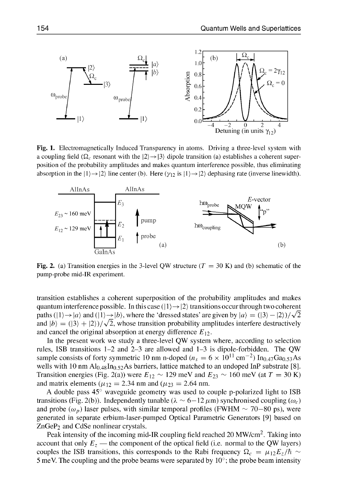

Fig. 1. Electromagnetically Induced Transparency in atoms. Driving a three-level system with a coupling field  $(\Omega_c$  resonant with the  $|2\rangle \rightarrow |3\rangle$  dipole transition (a) establishes a coherent superposition of the probability amplitudes and makes quantum interference possible, thus eliminating absorption in the  $|1\rangle \rightarrow |2\rangle$  line center (b). Here ( $\gamma_{12}$  is  $|1\rangle \rightarrow |2\rangle$  dephasing rate (inverse linewidth).



Fig. 2. (a) Transition energies in the 3-level QW structure  $(T = 30 \text{ K})$  and (b) schematic of the pump-probe mid-IR experiment.

transition establishes a coherent superposition of the probability amplitudes and makes quantum interference possible. In this case  $(|1\rangle \rightarrow |2\rangle)$  transitions occur through two coherent paths  $(1) \rightarrow |a\rangle$  and  $(1) \rightarrow |b\rangle$ , where the 'dressed states' are given by  $|a\rangle = (13\rangle - |2\rangle)/\sqrt{2}$ and  $|b\rangle = (13\rangle + |2\rangle)/\sqrt{2}$ , whose transition probability amplitudes interfere destructively and cancel the original absorption at energy difference  $E_{12}$ .

In the present work we study a three-level QW system where, according to selection rules, ISB transitions 1-2 and 2-3 are allowed and 1-3 is dipole-forbidden. The QW sample consists of forty symmetric 10 nm n-doped ( $n_s = 6 \times 10^{11}$  cm<sup>-2</sup>) In<sub>0.47</sub>Ga<sub>0.53</sub>As wells with 10 nm  $Al<sub>0.48</sub> In<sub>0.52</sub> As barriers, lattice matched to an undoped InP substrate [8].$ Transition energies (Fig. 2(a)) were  $E_{12} \sim 129$  meV and  $E_{23} \sim 160$  meV (at  $T = 30$  K) and matrix elements ( $\mu_{12} = 2.34$  nm and ( $\mu_{23} = 2.64$  nm.

A double pass 45' waveguide geometry was used to couple p-polarized light to ISB transitions (Fig. 2(b)). Independently tunable  $(\lambda \sim 6-12 \,\mu\text{m})$  synchronised coupling ( $\omega_c$ ) and probe  $(\omega_p)$  laser pulses, with similar temporal profiles (FWHM  $\sim$  70–80 ps), were generated in separate erbium-laser-pumped Optical Parametric Generators [91 based on  $ZnGeP_2$  and CdSe nonlinear crystals.

Peak intensity of the incoming mid-IR coupling field reached 20  $MW/cm<sup>2</sup>$ . Taking into account that only  $E_z$  — the component of the optical field (i.e. normal to the QW layers) couples the ISB transitions, this corresponds to the Rabi frequency  $\Omega_c = \mu_{12} E_z/\hbar \sim$ 5 meV. The coupling and the probe beams were separated by  $10^{\circ}$ ; the probe beam intensity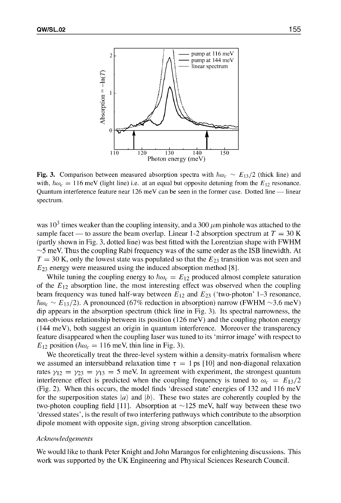

Fig. 3. Comparison between measured absorption spectra with  $\hbar\omega_c \sim E_{13}/2$  (thick line) and with,  $\hbar\omega_c = 116$  meV (light line) i.e. at an equal but opposite detuning from the  $E_{12}$  resonance. Quantum interference feature near 126 meV can be seen in the former case. Dotted line **-** linear spectrum.

was  $10^3$  times weaker than the coupling intensity, and a 300  $\mu$ m pinhole was attached to the sample facet — to assure the beam overlap. Linear 1-2 absorption spectrum at  $T = 30$  K (partly shown in Fig. 3, dotted line) was best fitted with the Lorentzian shape with FWHM  $\sim$ 5 meV. Thus the coupling Rabi frequency was of the same order as the ISB linewidth. At  $T = 30$  K, only the lowest state was populated so that the  $E_{23}$  transition was not seen and **E23** energy were measured using the induced absorption method [8].

While tuning the coupling energy to  $\hbar \omega_c = E_{12}$  produced almost complete saturation of the  $E_{12}$  absorption line, the most interesting effect was observed when the coupling beam frequency was tuned half-way between  $E_{12}$  and  $E_{23}$  ('two-photon' 1-3 resonance,  $\hbar\omega_c \sim E_{13}/2$ ). A pronounced (67% reduction in absorption) narrow (FWHM  $\sim$ 3.6 meV) dip appears in the absorption spectrum (thick line in Fig. 3). Its spectral narrowness, the non-obvious relationship between its position (126 meV) and the coupling photon energy (144 meV), both suggest an origin in quantum interference. Moreover the transparency feature disappeared when the coupling laser was tuned to its 'mirror image' with respect to  $E_{12}$  position ( $\hbar \omega_c = 116$  meV, thin line in Fig. 3).

We theoretically treat the three-level system within a density-matrix formalism where we assumed an intersubband relaxation time  $\tau = 1$  ps [10] and non-diagonal relaxation rates  $\gamma_{12} = \gamma_{23} = \gamma_{13} = 5$  meV. In agreement with experiment, the strongest quantum interference effect is predicted when the coupling frequency is tuned to  $\omega_c = E_{13}/2$ (Fig. 2). When this occurs, the model finds 'dressed state' energies of 132 and 116 meV for the superposition states  $|a\rangle$  and  $|b\rangle$ . These two states are coherently coupled by the two-photon coupling field [11]. Absorption at **-** 125 meV, half way between these two 'dressed states', is the result of two interfering pathways which contribute to the absorption dipole moment with opposite sign, giving strong absorption cancellation.

#### *Acknowledgements*

We would like to thank Peter Knight and John Marangos for enlightening discussions. This work was supported by the UK Engineering and Physical Sciences Research Council.